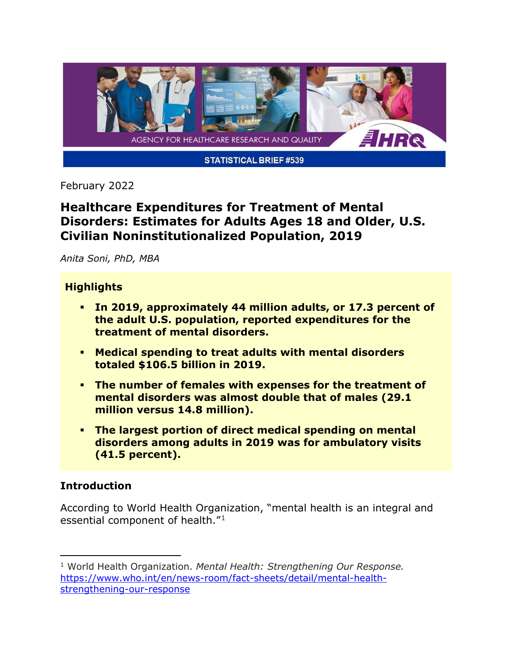

February 2022

# **Healthcare Expenditures for Treatment of Mental Disorders: Estimates for Adults Ages 18 and Older, U.S. Civilian Noninstitutionalized Population, 2019**

*Anita Soni, PhD, MBA*

## **Highlights**

- **In 2019, approximately 44 million adults, or 17.3 percent of the adult U.S. population, reported expenditures for the treatment of mental disorders.**
- **Medical spending to treat adults with mental disorders totaled \$106.5 billion in 2019.**
- **The number of females with expenses for the treatment of mental disorders was almost double that of males (29.1 million versus 14.8 million).**
- **The largest portion of direct medical spending on mental disorders among adults in 2019 was for ambulatory visits (41.5 percent).**

## **Introduction**

According to World Health Organization, "mental health is an integral and essential component of health."[1](#page-0-0)

<span id="page-0-0"></span><sup>1</sup> World Health Organization. *Mental Health: Strengthening Our Response.* [https://www.who.int/en/news-room/fact-sheets/detail/mental-health](https://www.who.int/en/news-room/fact-sheets/detail/mental-health-strengthening-our-response)[strengthening-our-response](https://www.who.int/en/news-room/fact-sheets/detail/mental-health-strengthening-our-response)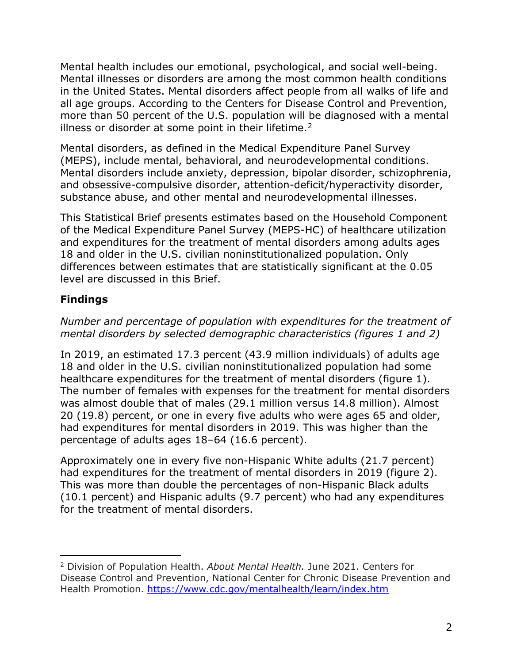Mental health includes our emotional, psychological, and social well-being. Mental illnesses or disorders are among the most common health conditions in the United States. Mental disorders affect people from all walks of life and all age groups. According to the Centers for Disease Control and Prevention, more than 50 percent of the U.S. population will be diagnosed with a mental illness or disorder at some point in their lifetime.<sup>2</sup>

Mental disorders, as defined in the Medical Expenditure Panel Survey (MEPS), include mental, behavioral, and neurodevelopmental conditions. Mental disorders include anxiety, depression, bipolar disorder, schizophrenia, and obsessive-compulsive disorder, attention-deficit/hyperactivity disorder, substance abuse, and other mental and neurodevelopmental illnesses.

This Statistical Brief presents estimates based on the Household Component of the Medical Expenditure Panel Survey (MEPS-HC) of healthcare utilization and expenditures for the treatment of mental disorders among adults ages 18 and older in the U.S. civilian noninstitutionalized population. Only differences between estimates that are statistically significant at the 0.05 level are discussed in this Brief.

## **Findings**

*Number and percentage of population with expenditures for the treatment of mental disorders by selected demographic characteristics (figures 1 and 2)*

In 2019, an estimated 17.3 percent (43.9 million individuals) of adults age 18 and older in the U.S. civilian noninstitutionalized population had some healthcare expenditures for the treatment of mental disorders (figure 1). The number of females with expenses for the treatment for mental disorders was almost double that of males (29.1 million versus 14.8 million). Almost 20 (19.8) percent, or one in every five adults who were ages 65 and older, had expenditures for mental disorders in 2019. This was higher than the percentage of adults ages 18–64 (16.6 percent).

Approximately one in every five non-Hispanic White adults (21.7 percent) had expenditures for the treatment of mental disorders in 2019 (figure 2). This was more than double the percentages of non-Hispanic Black adults (10.1 percent) and Hispanic adults (9.7 percent) who had any expenditures for the treatment of mental disorders.

<span id="page-1-0"></span><sup>2</sup> Division of Population Health. *About Mental Health.* June 2021. Centers for Disease Control and Prevention, National Center for Chronic Disease Prevention and Health Promotion.<https://www.cdc.gov/mentalhealth/learn/index.htm>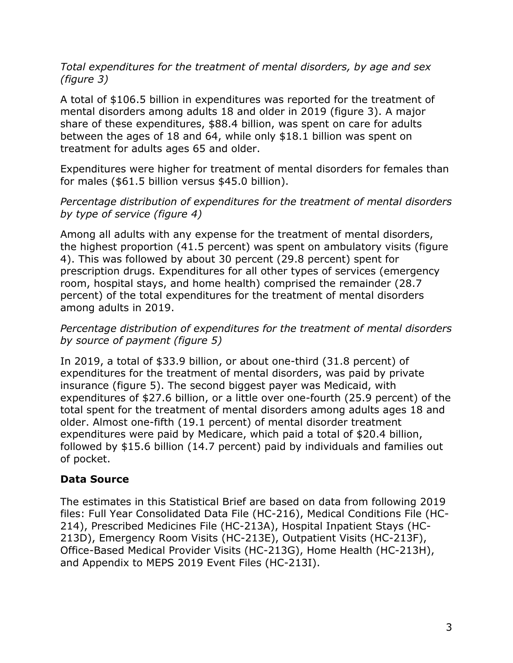### *Total expenditures for the treatment of mental disorders, by age and sex (figure 3)*

A total of \$106.5 billion in expenditures was reported for the treatment of mental disorders among adults 18 and older in 2019 (figure 3). A major share of these expenditures, \$88.4 billion, was spent on care for adults between the ages of 18 and 64, while only \$18.1 billion was spent on treatment for adults ages 65 and older.

Expenditures were higher for treatment of mental disorders for females than for males (\$61.5 billion versus \$45.0 billion).

### *Percentage distribution of expenditures for the treatment of mental disorders by type of service (figure 4)*

Among all adults with any expense for the treatment of mental disorders, the highest proportion (41.5 percent) was spent on ambulatory visits (figure 4). This was followed by about 30 percent (29.8 percent) spent for prescription drugs. Expenditures for all other types of services (emergency room, hospital stays, and home health) comprised the remainder (28.7 percent) of the total expenditures for the treatment of mental disorders among adults in 2019.

### *Percentage distribution of expenditures for the treatment of mental disorders by source of payment (figure 5)*

In 2019, a total of \$33.9 billion, or about one-third (31.8 percent) of expenditures for the treatment of mental disorders, was paid by private insurance (figure 5). The second biggest payer was Medicaid, with expenditures of \$27.6 billion, or a little over one-fourth (25.9 percent) of the total spent for the treatment of mental disorders among adults ages 18 and older. Almost one-fifth (19.1 percent) of mental disorder treatment expenditures were paid by Medicare, which paid a total of \$20.4 billion, followed by \$15.6 billion (14.7 percent) paid by individuals and families out of pocket.

## **Data Source**

The estimates in this Statistical Brief are based on data from following 2019 files: Full Year Consolidated Data File (HC-216), Medical Conditions File (HC-214), Prescribed Medicines File (HC-213A), Hospital Inpatient Stays (HC-213D), Emergency Room Visits (HC-213E), Outpatient Visits (HC-213F), Office-Based Medical Provider Visits (HC-213G), Home Health (HC-213H), and Appendix to MEPS 2019 Event Files (HC-213I).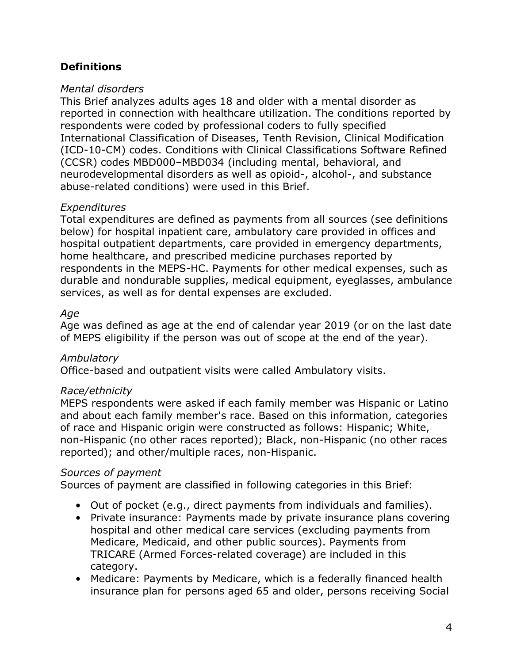## **Definitions**

#### *Mental disorders*

This Brief analyzes adults ages 18 and older with a mental disorder as reported in connection with healthcare utilization. The conditions reported by respondents were coded by professional coders to fully specified International Classification of Diseases, Tenth Revision, Clinical Modification (ICD-10-CM) codes. Conditions with Clinical Classifications Software Refined (CCSR) codes MBD000–MBD034 (including mental, behavioral, and neurodevelopmental disorders as well as opioid-, alcohol-, and substance abuse-related conditions) were used in this Brief.

## *Expenditures*

Total expenditures are defined as payments from all sources (see definitions below) for hospital inpatient care, ambulatory care provided in offices and hospital outpatient departments, care provided in emergency departments, home healthcare, and prescribed medicine purchases reported by respondents in the MEPS-HC. Payments for other medical expenses, such as durable and nondurable supplies, medical equipment, eyeglasses, ambulance services, as well as for dental expenses are excluded.

### *Age*

Age was defined as age at the end of calendar year 2019 (or on the last date of MEPS eligibility if the person was out of scope at the end of the year).

## *Ambulatory*

Office-based and outpatient visits were called Ambulatory visits.

#### *Race/ethnicity*

MEPS respondents were asked if each family member was Hispanic or Latino and about each family member's race. Based on this information, categories of race and Hispanic origin were constructed as follows: Hispanic; White, non-Hispanic (no other races reported); Black, non-Hispanic (no other races reported); and other/multiple races, non-Hispanic.

#### *Sources of payment*

Sources of payment are classified in following categories in this Brief:

- Out of pocket (e.g., direct payments from individuals and families).
- Private insurance: Payments made by private insurance plans covering hospital and other medical care services (excluding payments from Medicare, Medicaid, and other public sources). Payments from TRICARE (Armed Forces-related coverage) are included in this category.
- Medicare: Payments by Medicare, which is a federally financed health insurance plan for persons aged 65 and older, persons receiving Social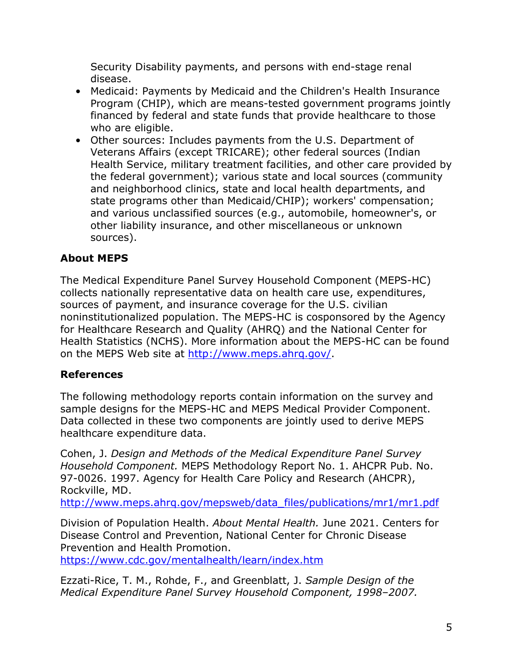Security Disability payments, and persons with end-stage renal disease.

- Medicaid: Payments by Medicaid and the Children's Health Insurance Program (CHIP), which are means-tested government programs jointly financed by federal and state funds that provide healthcare to those who are eligible.
- Other sources: Includes payments from the U.S. Department of Veterans Affairs (except TRICARE); other federal sources (Indian Health Service, military treatment facilities, and other care provided by the federal government); various state and local sources (community and neighborhood clinics, state and local health departments, and state programs other than Medicaid/CHIP); workers' compensation; and various unclassified sources (e.g., automobile, homeowner's, or other liability insurance, and other miscellaneous or unknown sources).

# **About MEPS**

The Medical Expenditure Panel Survey Household Component (MEPS-HC) collects nationally representative data on health care use, expenditures, sources of payment, and insurance coverage for the U.S. civilian noninstitutionalized population. The MEPS-HC is cosponsored by the Agency for Healthcare Research and Quality (AHRQ) and the National Center for Health Statistics (NCHS). More information about the MEPS-HC can be found on the MEPS Web site at [http://www.meps.ahrq.gov/.](http://www.meps.ahrq.gov/)

# **References**

The following methodology reports contain information on the survey and sample designs for the MEPS-HC and MEPS Medical Provider Component. Data collected in these two components are jointly used to derive MEPS healthcare expenditure data.

Cohen, J. *Design and Methods of the Medical Expenditure Panel Survey Household Component.* MEPS Methodology Report No. 1. AHCPR Pub. No. 97-0026. 1997. Agency for Health Care Policy and Research (AHCPR), Rockville, MD.

[http://www.meps.ahrq.gov/mepsweb/data\\_files/publications/mr1/mr1.pdf](http://www.meps.ahrq.gov/mepsweb/data_files/publications/mr1/mr1.pdf)

Division of Population Health. *About Mental Health.* June 2021. Centers for Disease Control and Prevention, National Center for Chronic Disease Prevention and Health Promotion. <https://www.cdc.gov/mentalhealth/learn/index.htm>

Ezzati-Rice, T. M., Rohde, F., and Greenblatt, J. *Sample Design of the Medical Expenditure Panel Survey Household Component, 1998–2007.*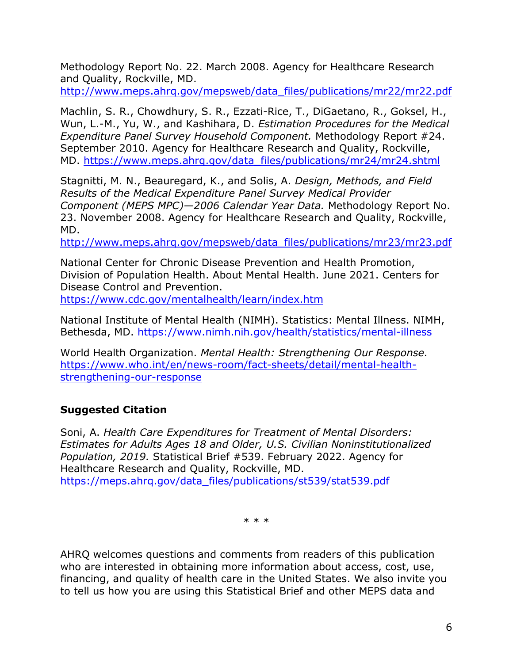Methodology Report No. 22. March 2008. Agency for Healthcare Research and Quality, Rockville, MD.

[http://www.meps.ahrq.gov/mepsweb/data\\_files/publications/mr22/mr22.pdf](http://www.meps.ahrq.gov/mepsweb/data_files/publications/mr22/mr22.pdf)

Machlin, S. R., Chowdhury, S. R., Ezzati-Rice, T., DiGaetano, R., Goksel, H., Wun, L.-M., Yu, W., and Kashihara, D. *Estimation Procedures for the Medical Expenditure Panel Survey Household Component.* Methodology Report #24. September 2010. Agency for Healthcare Research and Quality, Rockville, MD. [https://www.meps.ahrq.gov/data\\_files/publications/mr24/mr24.shtml](https://www.meps.ahrq.gov/data_files/publications/mr24/mr24.shtml)

Stagnitti, M. N., Beauregard, K., and Solis, A. *Design, Methods, and Field Results of the Medical Expenditure Panel Survey Medical Provider Component (MEPS MPC)—2006 Calendar Year Data.* Methodology Report No. 23. November 2008. Agency for Healthcare Research and Quality, Rockville, MD.

[http://www.meps.ahrq.gov/mepsweb/data\\_files/publications/mr23/mr23.pdf](http://www.meps.ahrq.gov/mepsweb/data_files/publications/mr23/mr23.pdf)

National Center for Chronic Disease Prevention and Health Promotion, Division of Population Health. About Mental Health. June 2021. Centers for Disease Control and Prevention.

<https://www.cdc.gov/mentalhealth/learn/index.htm>

National Institute of Mental Health (NIMH). Statistics: Mental Illness. NIMH, Bethesda, MD.<https://www.nimh.nih.gov/health/statistics/mental-illness>

World Health Organization. *Mental Health: Strengthening Our Response.* [https://www.who.int/en/news-room/fact-sheets/detail/mental-health](https://www.who.int/en/news-room/fact-sheets/detail/mental-health-strengthening-our-response)[strengthening-our-response](https://www.who.int/en/news-room/fact-sheets/detail/mental-health-strengthening-our-response) 

## **Suggested Citation**

Soni, A. *Health Care Expenditures for Treatment of Mental Disorders: Estimates for Adults Ages 18 and Older, U.S. Civilian Noninstitutionalized Population, 2019.* Statistical Brief #539. February 2022. Agency for Healthcare Research and Quality, Rockville, MD. [https://meps.ahrq.gov/data\\_files/publications/st539/stat539.pdf](https://meps.ahrq.gov/data_files/publications/st539/stat539.pdf) 

\* \* \*

AHRQ welcomes questions and comments from readers of this publication who are interested in obtaining more information about access, cost, use, financing, and quality of health care in the United States. We also invite you to tell us how you are using this Statistical Brief and other MEPS data and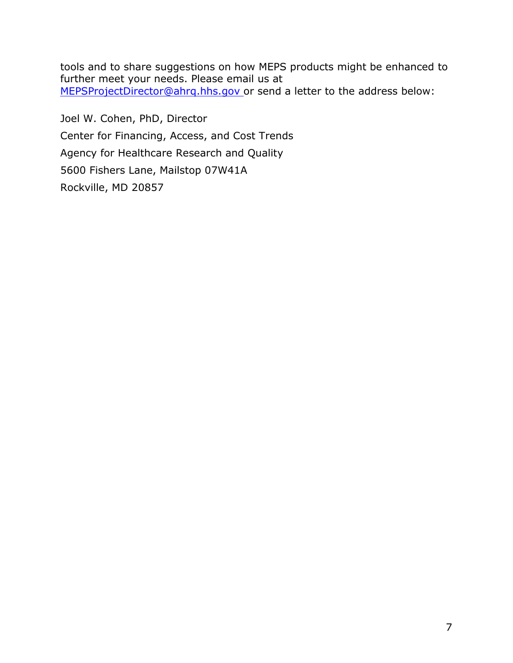tools and to share suggestions on how MEPS products might be enhanced to further meet your needs. Please email us at [MEPSProjectDirector@ahrq.hhs.gov](mailto:MEPSProjectDirector@ahrq.hhs.gov) or send a letter to the address below:

Joel W. Cohen, PhD, Director Center for Financing, Access, and Cost Trends Agency for Healthcare Research and Quality 5600 Fishers Lane, Mailstop 07W41A Rockville, MD 20857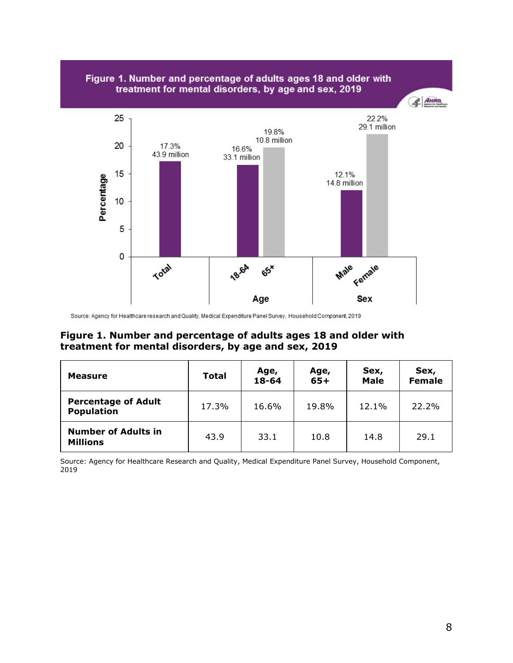



Source: Agency for Healthcare research and Quality, Medical Expenditure Panel Survey, Household Component, 2019

#### **Figure 1. Number and percentage of adults ages 18 and older with treatment for mental disorders, by age and sex, 2019**

| Measure                                         | <b>Total</b> | Age,<br>18-64 | Age,<br>$65+$ | Sex,<br><b>Male</b> | Sex,<br><b>Female</b> |
|-------------------------------------------------|--------------|---------------|---------------|---------------------|-----------------------|
| <b>Percentage of Adult</b><br><b>Population</b> | 17.3%        | 16.6%         | 19.8%         | 12.1%               | 22.2%                 |
| <b>Number of Adults in</b><br><b>Millions</b>   | 43.9         | 33.1          | 10.8          | 14.8                | 29.1                  |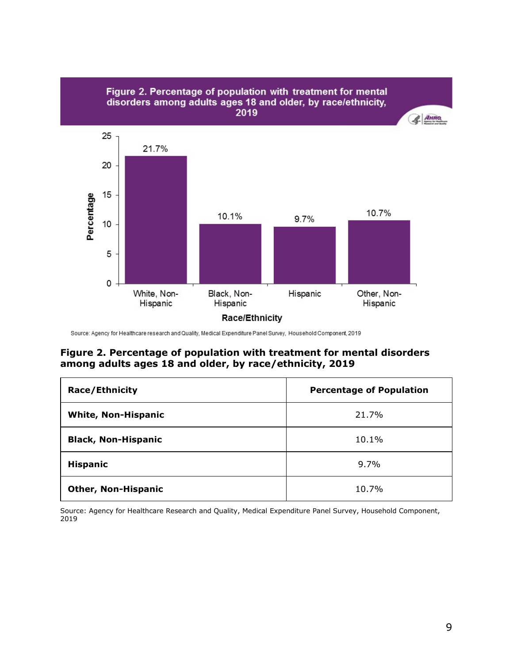

#### Source: Agency for Healthcare research and Quality, Medical Expenditure Panel Survey, Household Component, 2019

#### **Figure 2. Percentage of population with treatment for mental disorders among adults ages 18 and older, by race/ethnicity, 2019**

| <b>Race/Ethnicity</b>      | <b>Percentage of Population</b> |
|----------------------------|---------------------------------|
| <b>White, Non-Hispanic</b> | 21.7%                           |
| <b>Black, Non-Hispanic</b> | 10.1%                           |
| <b>Hispanic</b>            | 9.7%                            |
| <b>Other, Non-Hispanic</b> | 10.7%                           |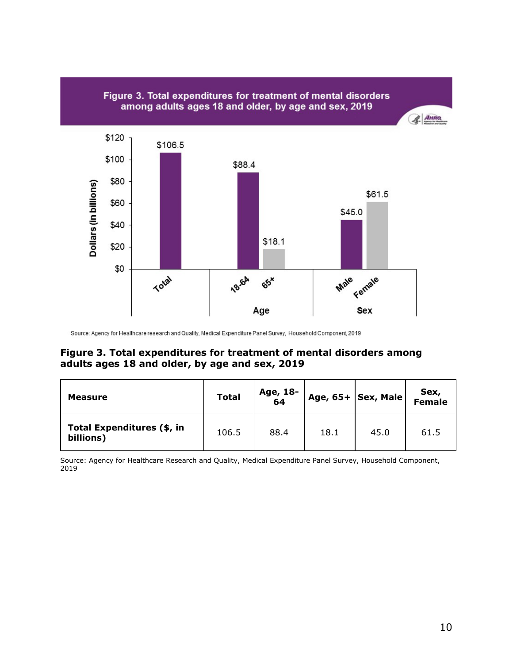

Source: Agency for Healthcare research and Quality, Medical Expenditure Panel Survey, Household Component, 2019

#### **Figure 3. Total expenditures for treatment of mental disorders among adults ages 18 and older, by age and sex, 2019**

| <b>Measure</b>                          | <b>Total</b> | Age, 18-<br>64 |      | Age, $65+ Sex, Male $ | Sex,<br>Female |
|-----------------------------------------|--------------|----------------|------|-----------------------|----------------|
| Total Expenditures (\$, in<br>billions) | 106.5        | 88.4           | 18.1 | 45.0                  | 61.5           |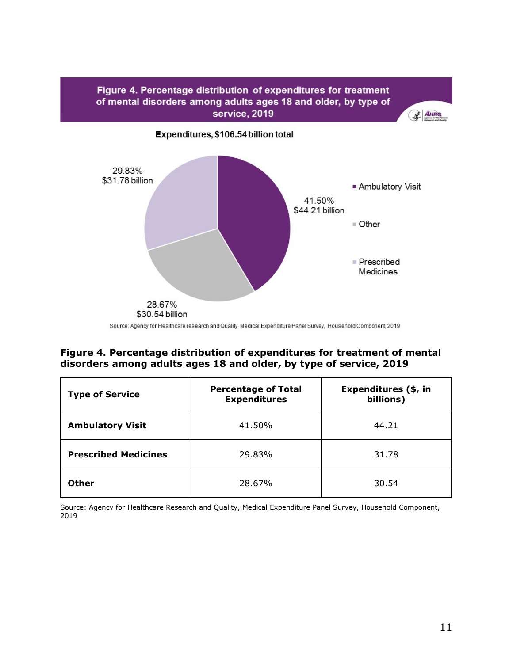

#### **Figure 4. Percentage distribution of expenditures for treatment of mental disorders among adults ages 18 and older, by type of service, 2019**

| <b>Type of Service</b>      | <b>Percentage of Total</b><br><b>Expenditures</b> | Expenditures (\$, in<br>billions) |  |
|-----------------------------|---------------------------------------------------|-----------------------------------|--|
| <b>Ambulatory Visit</b>     | 41.50%                                            | 44.21                             |  |
| <b>Prescribed Medicines</b> | 29.83%                                            | 31.78                             |  |
| <b>Other</b>                | 28.67%                                            | 30.54                             |  |